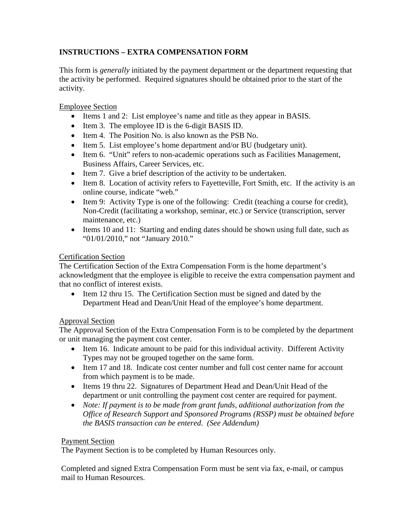# **INSTRUCTIONS – EXTRA COMPENSATION FORM**

This form is *generally* initiated by the payment department or the department requesting that the activity be performed. Required signatures should be obtained prior to the start of the activity.

# Employee Section

- Items 1 and 2: List employee's name and title as they appear in BASIS.
- Item 3. The employee ID is the 6-digit BASIS ID.
- Item 4. The Position No. is also known as the PSB No.
- Item 5. List employee's home department and/or BU (budgetary unit).
- Item 6. "Unit" refers to non-academic operations such as Facilities Management, Business Affairs, Career Services, etc.
- Item 7. Give a brief description of the activity to be undertaken.
- Item 8. Location of activity refers to Fayetteville, Fort Smith, etc. If the activity is an online course, indicate "web."
- Item 9: Activity Type is one of the following: Credit (teaching a course for credit), Non-Credit (facilitating a workshop, seminar, etc.) or Service (transcription, server maintenance, etc.)
- Items 10 and 11: Starting and ending dates should be shown using full date, such as "01/01/2010," not "January 2010."

# Certification Section

The Certification Section of the Extra Compensation Form is the home department's acknowledgment that the employee is eligible to receive the extra compensation payment and that no conflict of interest exists.

• Item 12 thru 15. The Certification Section must be signed and dated by the Department Head and Dean/Unit Head of the employee's home department.

### Approval Section

The Approval Section of the Extra Compensation Form is to be completed by the department or unit managing the payment cost center.

- Item 16. Indicate amount to be paid for this individual activity. Different Activity Types may not be grouped together on the same form.
- Item 17 and 18. Indicate cost center number and full cost center name for account from which payment is to be made.
- Items 19 thru 22. Signatures of Department Head and Dean/Unit Head of the department or unit controlling the payment cost center are required for payment.
- *Note: If payment is to be made from grant funds, additional authorization from the Office of Research Support and Sponsored Programs (RSSP) must be obtained before the BASIS transaction can be entered. (See Addendum)*

### Payment Section

The Payment Section is to be completed by Human Resources only.

Completed and signed Extra Compensation Form must be sent via fax, e-mail, or campus mail to Human Resources.